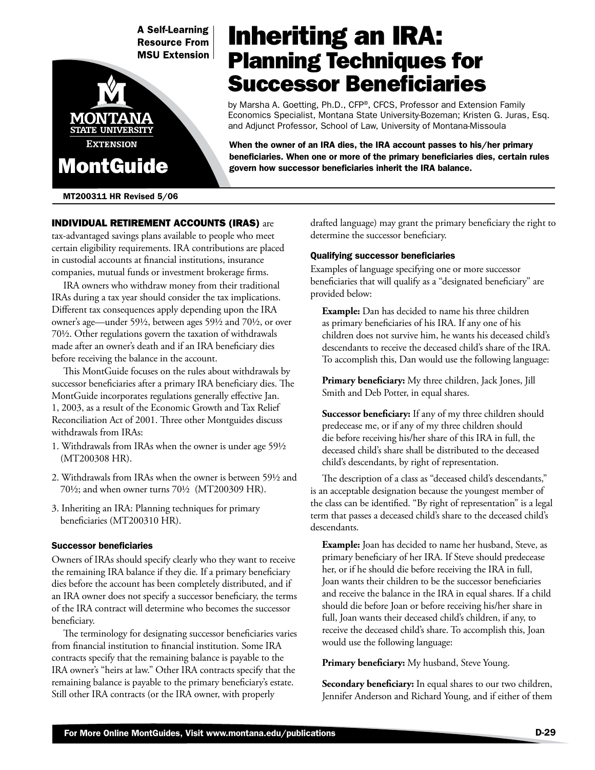**A Self-Learning Resource From MSU Extension** 



MT200311 HR Revised 5/06

# Inheriting an IRA: Planning Techniques for Successor Beneficiaries

by Marsha A. Goetting, Ph.D., CFP®, CFCS, Professor and Extension Family Economics Specialist, Montana State University-Bozeman; Kristen G. Juras, Esq. and Adjunct Professor, School of Law, University of Montana-Missoula

When the owner of an IRA dies, the IRA account passes to his/her primary beneficiaries. When one or more of the primary beneficiaries dies, certain rules govern how successor beneficiaries inherit the IRA balance.

# Individual Retirement Accounts (IRAs) are tax-advantaged savings plans available to people who meet certain eligibility requirements. IRA contributions are placed in custodial accounts at financial institutions, insurance companies, mutual funds or investment brokerage firms.

IRA owners who withdraw money from their traditional IRAs during a tax year should consider the tax implications. Different tax consequences apply depending upon the IRA owner's age—under 591/2, between ages 591/2 and 701/2, or over 701/2. Other regulations govern the taxation of withdrawals made after an owner's death and if an IRA beneficiary dies before receiving the balance in the account.

This MontGuide focuses on the rules about withdrawals by successor beneficiaries after a primary IRA beneficiary dies. The MontGuide incorporates regulations generally effective Jan. 1, 2003, as a result of the Economic Growth and Tax Relief Reconciliation Act of 2001. Three other Montguides discuss withdrawals from IRAs:

- 1. Withdrawals from IRAs when the owner is under age 591/2 (MT200308 HR).
- 2. Withdrawals from IRAs when the owner is between 591/2 and 701/2; and when owner turns 701/2 (MT200309 HR).
- 3. Inheriting an IRA: Planning techniques for primary beneficiaries (MT200310 HR).

# Successor beneficiaries

Owners of IRAs should specify clearly who they want to receive the remaining IRA balance if they die. If a primary beneficiary dies before the account has been completely distributed, and if an IRA owner does not specify a successor beneficiary, the terms of the IRA contract will determine who becomes the successor beneficiary.

The terminology for designating successor beneficiaries varies from financial institution to financial institution. Some IRA contracts specify that the remaining balance is payable to the IRA owner's "heirs at law." Other IRA contracts specify that the remaining balance is payable to the primary beneficiary's estate. Still other IRA contracts (or the IRA owner, with properly

drafted language) may grant the primary beneficiary the right to determine the successor beneficiary.

# Qualifying successor beneficiaries

Examples of language specifying one or more successor beneficiaries that will qualify as a "designated beneficiary" are provided below:

**Example:** Dan has decided to name his three children as primary beneficiaries of his IRA. If any one of his children does not survive him, he wants his deceased child's descendants to receive the deceased child's share of the IRA. To accomplish this, Dan would use the following language:

**Primary beneficiary:** My three children, Jack Jones, Jill Smith and Deb Potter, in equal shares.

**Successor beneficiary:** If any of my three children should predecease me, or if any of my three children should die before receiving his/her share of this IRA in full, the deceased child's share shall be distributed to the deceased child's descendants, by right of representation.

The description of a class as "deceased child's descendants," is an acceptable designation because the youngest member of the class can be identified. "By right of representation" is a legal term that passes a deceased child's share to the deceased child's descendants.

**Example:** Joan has decided to name her husband, Steve, as primary beneficiary of her IRA. If Steve should predecease her, or if he should die before receiving the IRA in full, Joan wants their children to be the successor beneficiaries and receive the balance in the IRA in equal shares. If a child should die before Joan or before receiving his/her share in full, Joan wants their deceased child's children, if any, to receive the deceased child's share. To accomplish this, Joan would use the following language:

**Primary beneficiary:** My husband, Steve Young.

**Secondary beneficiary:** In equal shares to our two children, Jennifer Anderson and Richard Young, and if either of them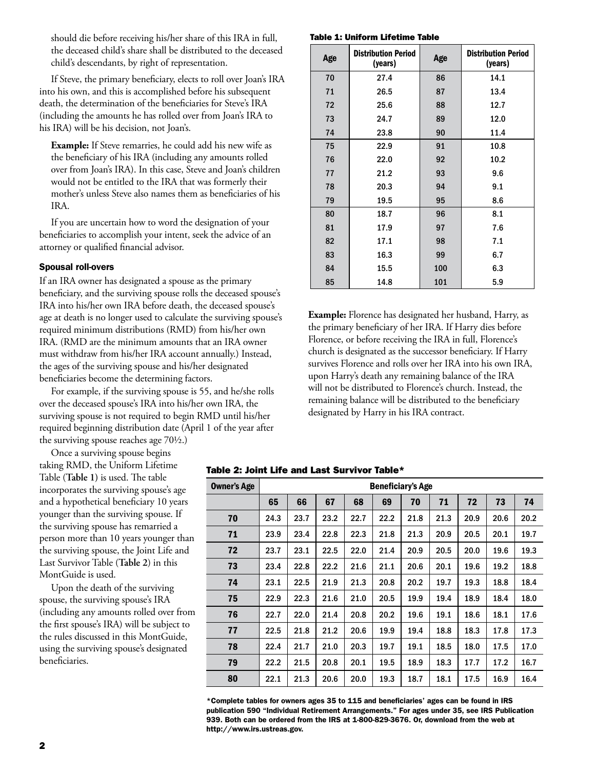should die before receiving his/her share of this IRA in full, the deceased child's share shall be distributed to the deceased child's descendants, by right of representation.

If Steve, the primary beneficiary, elects to roll over Joan's IRA into his own, and this is accomplished before his subsequent death, the determination of the beneficiaries for Steve's IRA (including the amounts he has rolled over from Joan's IRA to his IRA) will be his decision, not Joan's.

**Example:** If Steve remarries, he could add his new wife as the beneficiary of his IRA (including any amounts rolled over from Joan's IRA). In this case, Steve and Joan's children would not be entitled to the IRA that was formerly their mother's unless Steve also names them as beneficiaries of his IRA.

If you are uncertain how to word the designation of your beneficiaries to accomplish your intent, seek the advice of an attorney or qualified financial advisor.

## Spousal roll-overs

If an IRA owner has designated a spouse as the primary beneficiary, and the surviving spouse rolls the deceased spouse's IRA into his/her own IRA before death, the deceased spouse's age at death is no longer used to calculate the surviving spouse's required minimum distributions (RMD) from his/her own IRA. (RMD are the minimum amounts that an IRA owner must withdraw from his/her IRA account annually.) Instead, the ages of the surviving spouse and his/her designated beneficiaries become the determining factors.

For example, if the surviving spouse is 55, and he/she rolls over the deceased spouse's IRA into his/her own IRA, the surviving spouse is not required to begin RMD until his/her required beginning distribution date (April 1 of the year after the surviving spouse reaches age  $70\frac{1}{2}$ .)

Once a surviving spouse begins taking RMD, the Uniform Lifetime Table (**Table 1)** is used. The table incorporates the surviving spouse's age and a hypothetical beneficiary 10 years younger than the surviving spouse. If the surviving spouse has remarried a person more than 10 years younger than the surviving spouse, the Joint Life and Last Survivor Table (**Table 2**) in this MontGuide is used.

Upon the death of the surviving spouse, the surviving spouse's IRA (including any amounts rolled over from the first spouse's IRA) will be subject to the rules discussed in this MontGuide, using the surviving spouse's designated beneficiaries.

Table 1: Uniform Lifetime Table

| Age | <b>Distribution Period</b><br>(years) | Age | <b>Distribution Period</b><br>(years) |  |  |
|-----|---------------------------------------|-----|---------------------------------------|--|--|
| 70  | 27.4                                  | 86  | 14.1                                  |  |  |
| 71  | 26.5                                  | 87  | 13.4                                  |  |  |
| 72  | 25.6                                  | 88  | 12.7                                  |  |  |
| 73  | 24.7                                  | 89  | 12.0                                  |  |  |
| 74  | 23.8                                  | 90  | 11.4                                  |  |  |
| 75  | 22.9                                  | 91  | 10.8                                  |  |  |
| 76  | 22.0                                  | 92  | 10.2                                  |  |  |
| 77  | 21.2                                  | 93  | 9.6                                   |  |  |
| 78  | 20.3                                  | 94  | 9.1                                   |  |  |
| 79  | 19.5                                  | 95  | 8.6                                   |  |  |
| 80  | 18.7                                  | 96  | 8.1                                   |  |  |
| 81  | 17.9                                  | 97  | 7.6                                   |  |  |
| 82  | 17.1                                  | 98  | 7.1                                   |  |  |
| 83  | 16.3                                  | 99  | 6.7                                   |  |  |
| 84  | 15.5                                  | 100 | 6.3                                   |  |  |
| 85  | 14.8                                  | 101 | 5.9                                   |  |  |

**Example:** Florence has designated her husband, Harry, as the primary beneficiary of her IRA. If Harry dies before Florence, or before receiving the IRA in full, Florence's church is designated as the successor beneficiary. If Harry survives Florence and rolls over her IRA into his own IRA, upon Harry's death any remaining balance of the IRA will not be distributed to Florence's church. Instead, the remaining balance will be distributed to the beneficiary designated by Harry in his IRA contract.

## Table 2: Joint Life and Last Survivor Table\*

| <b>Owner's Age</b> | <b>Beneficiary's Age</b> |      |      |      |      |      |      |      |      |      |
|--------------------|--------------------------|------|------|------|------|------|------|------|------|------|
|                    | 65                       | 66   | 67   | 68   | 69   | 70   | 71   | 72   | 73   | 74   |
| 70                 | 24.3                     | 23.7 | 23.2 | 22.7 | 22.2 | 21.8 | 21.3 | 20.9 | 20.6 | 20.2 |
| 71                 | 23.9                     | 23.4 | 22.8 | 22.3 | 21.8 | 21.3 | 20.9 | 20.5 | 20.1 | 19.7 |
| 72                 | 23.7                     | 23.1 | 22.5 | 22.0 | 21.4 | 20.9 | 20.5 | 20.0 | 19.6 | 19.3 |
| 73                 | 23.4                     | 22.8 | 22.2 | 21.6 | 21.1 | 20.6 | 20.1 | 19.6 | 19.2 | 18.8 |
| 74                 | 23.1                     | 22.5 | 21.9 | 21.3 | 20.8 | 20.2 | 19.7 | 19.3 | 18.8 | 18.4 |
| 75                 | 22.9                     | 22.3 | 21.6 | 21.0 | 20.5 | 19.9 | 19.4 | 18.9 | 18.4 | 18.0 |
| 76                 | 22.7                     | 22.0 | 21.4 | 20.8 | 20.2 | 19.6 | 19.1 | 18.6 | 18.1 | 17.6 |
| 77                 | 22.5                     | 21.8 | 21.2 | 20.6 | 19.9 | 19.4 | 18.8 | 18.3 | 17.8 | 17.3 |
| 78                 | 22.4                     | 21.7 | 21.0 | 20.3 | 19.7 | 19.1 | 18.5 | 18.0 | 17.5 | 17.0 |
| 79                 | 22.2                     | 21.5 | 20.8 | 20.1 | 19.5 | 18.9 | 18.3 | 17.7 | 17.2 | 16.7 |
| 80                 | 22.1                     | 21.3 | 20.6 | 20.0 | 19.3 | 18.7 | 18.1 | 17.5 | 16.9 | 16.4 |

\*Complete tables for owners ages 35 to 115 and beneficiaries' ages can be found in IRS publication 590 "Individual Retirement Arrangements." For ages under 35, see IRS Publication 939. Both can be ordered from the IRS at 1-800-829-3676. Or, download from the web at http://www.irs.ustreas.gov.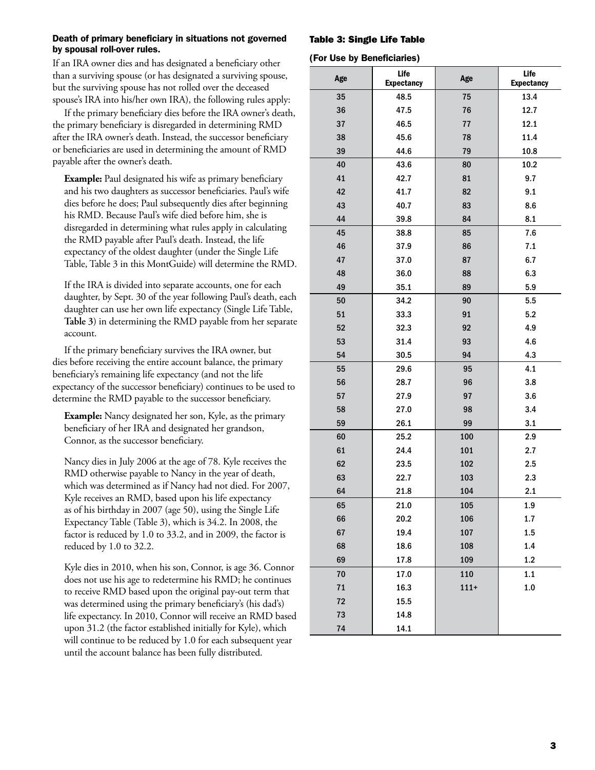# Death of primary beneficiary in situations not governed by spousal roll-over rules.

If an IRA owner dies and has designated a beneficiary other than a surviving spouse (or has designated a surviving spouse, but the surviving spouse has not rolled over the deceased spouse's IRA into his/her own IRA), the following rules apply:

If the primary beneficiary dies before the IRA owner's death, the primary beneficiary is disregarded in determining RMD after the IRA owner's death. Instead, the successor beneficiary or beneficiaries are used in determining the amount of RMD payable after the owner's death.

**Example:** Paul designated his wife as primary beneficiary and his two daughters as successor beneficiaries. Paul's wife dies before he does; Paul subsequently dies after beginning his RMD. Because Paul's wife died before him, she is disregarded in determining what rules apply in calculating the RMD payable after Paul's death. Instead, the life expectancy of the oldest daughter (under the Single Life Table, Table 3 in this MontGuide) will determine the RMD.

If the IRA is divided into separate accounts, one for each daughter, by Sept. 30 of the year following Paul's death, each daughter can use her own life expectancy (Single Life Table, **Table 3**) in determining the RMD payable from her separate account.

If the primary beneficiary survives the IRA owner, but dies before receiving the entire account balance, the primary beneficiary's remaining life expectancy (and not the life expectancy of the successor beneficiary) continues to be used to determine the RMD payable to the successor beneficiary.

**Example:** Nancy designated her son, Kyle, as the primary beneficiary of her IRA and designated her grandson, Connor, as the successor beneficiary.

Nancy dies in July 2006 at the age of 78. Kyle receives the RMD otherwise payable to Nancy in the year of death, which was determined as if Nancy had not died. For 2007, Kyle receives an RMD, based upon his life expectancy as of his birthday in 2007 (age 50), using the Single Life Expectancy Table (Table 3), which is 34.2. In 2008, the factor is reduced by 1.0 to 33.2, and in 2009, the factor is reduced by 1.0 to 32.2.

Kyle dies in 2010, when his son, Connor, is age 36. Connor does not use his age to redetermine his RMD; he continues to receive RMD based upon the original pay-out term that was determined using the primary beneficiary's (his dad's) life expectancy. In 2010, Connor will receive an RMD based upon 31.2 (the factor established initially for Kyle), which will continue to be reduced by 1.0 for each subsequent year until the account balance has been fully distributed.

Table 3: Single Life Table

(For Use by Beneficiaries)

| Age        | Life<br><b>Expectancy</b> | Age     | Life<br><b>Expectancy</b> |
|------------|---------------------------|---------|---------------------------|
| 35         | 48.5                      | 75      | 13.4                      |
| 36         | 47.5                      | 76      | 12.7                      |
| 37         | 46.5                      | 77      | 12.1                      |
| 38         | 45.6                      | 78      | 11.4                      |
| 39         | 44.6                      | 79      | 10.8                      |
| 40         | 43.6                      | 80      | 10.2                      |
| 41         | 42.7                      | 81      | 9.7                       |
| 42         | 41.7                      | 82      | 9.1                       |
| 43         | 40.7                      | 83      | 8.6                       |
| 44         | 39.8                      | 84      | 8.1                       |
| 45         | 38.8                      | 85      | 7.6                       |
| 46         | 37.9                      | 86      | 7.1                       |
| 47         | 37.0                      | 87      | 6.7                       |
| 48         | 36.0                      | 88      | 6.3                       |
| 49         | 35.1                      | 89      | 5.9                       |
| 50         | 34.2                      | 90      | 5.5                       |
| 51         | 33.3                      | 91      | 5.2                       |
| 52         | 32.3                      | 92      | 4.9                       |
| 53         | 31.4                      | 93      | 4.6                       |
| 54         | 30.5                      | 94      | 4.3                       |
| 55         | 29.6                      | 95      | 4.1                       |
| 56         | 28.7                      | 96      | 3.8                       |
| 57         | 27.9                      | 97      | 3.6                       |
| 58         | 27.0                      | 98      | 3.4                       |
| 59         | 26.1                      | 99      | 3.1                       |
| 60         | 25.2                      | 100     | 2.9                       |
| 61         | 24.4                      | 101     | 2.7                       |
| 62         | 23.5                      | 102     | 2.5                       |
| 63         | 22.7                      | 103     | 2.3                       |
| 64         | 21.8                      | 104     | 2.1                       |
| 65         | 21.0                      | 105     | 1.9                       |
| 66         | 20.2                      | 106     | 1.7                       |
| 67         | 19.4                      | 107     | 1.5                       |
| 68         | 18.6                      | 108     | 1.4                       |
| 69         | 17.8                      | 109     | 1.2                       |
| 70         | 17.0                      | 110     | 1.1                       |
| ${\bf 71}$ | 16.3                      | $111 +$ | 1.0                       |
| 72         | 15.5                      |         |                           |
| 73         | 14.8                      |         |                           |
| 74         | 14.1                      |         |                           |